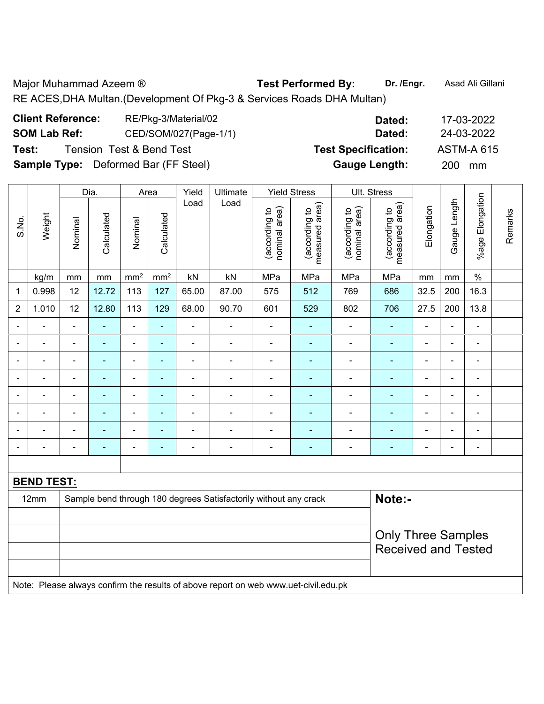Major Muhammad Azeem ® **Test Performed By:** Dr. /Engr. **Asad Ali Gillani** RE ACES,DHA Multan.(Development Of Pkg-3 & Services Roads DHA Multan)

| <b>Client Reference:</b> | RE/Pkg-3/Material/02                        | Dated:                     | 17-03-2022        |
|--------------------------|---------------------------------------------|----------------------------|-------------------|
| <b>SOM Lab Ref:</b>      | CED/SOM/027(Page-1/1)                       | Dated:                     | 24-03-2022        |
| Test:                    | <b>Tension Test &amp; Bend Test</b>         | <b>Test Specification:</b> | <b>ASTM-A 615</b> |
|                          | <b>Sample Type:</b> Deformed Bar (FF Steel) | <b>Gauge Length:</b>       | <b>200</b><br>mm  |

|                |                                                                                     |                | Dia.           |                 | Area            | Yield          | Ultimate                                                         |                                | <b>Yield Stress</b>             |                                | Ult. Stress                     |                |                |                 |         |
|----------------|-------------------------------------------------------------------------------------|----------------|----------------|-----------------|-----------------|----------------|------------------------------------------------------------------|--------------------------------|---------------------------------|--------------------------------|---------------------------------|----------------|----------------|-----------------|---------|
| S.No.          | Weight                                                                              | Nominal        | Calculated     | Nominal         | Calculated      | Load           | Load                                                             | (according to<br>nominal area) | (according to<br>measured area) | (according to<br>nominal area) | (according to<br>measured area) | Elongation     | Gauge Length   | %age Elongation | Remarks |
|                | kg/m                                                                                | mm             | mm             | mm <sup>2</sup> | mm <sup>2</sup> | kN             | kN                                                               | MPa                            | MPa                             | MPa                            | MPa                             | mm             | mm             | $\frac{0}{0}$   |         |
| 1              | 0.998                                                                               | 12             | 12.72          | 113             | 127             | 65.00          | 87.00                                                            | 575                            | 512                             | 769                            | 686                             | 32.5           | 200            | 16.3            |         |
| $\overline{2}$ | 1.010                                                                               | 12             | 12.80          | 113             | 129             | 68.00          | 90.70                                                            | 601                            | 529                             | 802                            | 706                             | 27.5           | 200            | 13.8            |         |
|                |                                                                                     |                | $\blacksquare$ | ÷,              | ÷               | ÷              | -                                                                | $\overline{a}$                 |                                 |                                |                                 |                |                | $\blacksquare$  |         |
| ä,             | ÷                                                                                   | $\blacksquare$ | $\blacksquare$ | $\blacksquare$  | ٠               | ÷              | $\overline{\phantom{a}}$                                         | $\blacksquare$                 | $\frac{1}{2}$                   | $\blacksquare$                 | ÷,                              | $\blacksquare$ | $\blacksquare$ | $\blacksquare$  |         |
|                | $\blacksquare$                                                                      | $\blacksquare$ | $\blacksquare$ | ÷,              | ÷               | ÷              | $\overline{\phantom{a}}$                                         | $\overline{\phantom{a}}$       | $\blacksquare$                  | $\blacksquare$                 | $\blacksquare$                  | $\blacksquare$ | $\blacksquare$ | $\blacksquare$  |         |
|                | ä,                                                                                  | $\blacksquare$ | ÷,             | $\blacksquare$  | ٠               | ÷              | $\overline{\phantom{a}}$                                         | $\blacksquare$                 | $\blacksquare$                  | $\blacksquare$                 | $\blacksquare$                  | $\blacksquare$ | $\blacksquare$ | $\blacksquare$  |         |
|                |                                                                                     |                | $\blacksquare$ | ä,              | $\blacksquare$  | ä,             | ä,                                                               | $\blacksquare$                 | $\blacksquare$                  | $\blacksquare$                 | $\blacksquare$                  |                | $\blacksquare$ | $\blacksquare$  |         |
|                |                                                                                     |                | ٠              | ä,              | $\blacksquare$  | $\blacksquare$ | $\blacksquare$                                                   | Ē,                             |                                 |                                |                                 |                | ٠              | $\blacksquare$  |         |
|                |                                                                                     |                | $\blacksquare$ | ÷,              | ٠               | $\blacksquare$ | ä,                                                               | $\blacksquare$                 |                                 | $\blacksquare$                 | $\blacksquare$                  | $\blacksquare$ | $\blacksquare$ | $\blacksquare$  |         |
|                |                                                                                     | $\blacksquare$ | $\blacksquare$ | ÷,              | $\blacksquare$  | ÷              | $\overline{\phantom{a}}$                                         | $\blacksquare$                 | $\overline{\phantom{0}}$        | $\blacksquare$                 | $\overline{\phantom{0}}$        | $\blacksquare$ | $\blacksquare$ | $\blacksquare$  |         |
|                |                                                                                     |                |                |                 |                 |                |                                                                  |                                |                                 |                                |                                 |                |                |                 |         |
|                | <b>BEND TEST:</b>                                                                   |                |                |                 |                 |                |                                                                  |                                |                                 |                                |                                 |                |                |                 |         |
|                | 12mm                                                                                |                |                |                 |                 |                | Sample bend through 180 degrees Satisfactorily without any crack |                                |                                 |                                | Note:-                          |                |                |                 |         |
|                |                                                                                     |                |                |                 |                 |                |                                                                  |                                |                                 |                                |                                 |                |                |                 |         |
|                |                                                                                     |                |                |                 |                 |                |                                                                  |                                |                                 |                                | <b>Only Three Samples</b>       |                |                |                 |         |
|                |                                                                                     |                |                |                 |                 |                |                                                                  |                                |                                 |                                | <b>Received and Tested</b>      |                |                |                 |         |
|                |                                                                                     |                |                |                 |                 |                |                                                                  |                                |                                 |                                |                                 |                |                |                 |         |
|                | Note: Please always confirm the results of above report on web www.uet-civil.edu.pk |                |                |                 |                 |                |                                                                  |                                |                                 |                                |                                 |                |                |                 |         |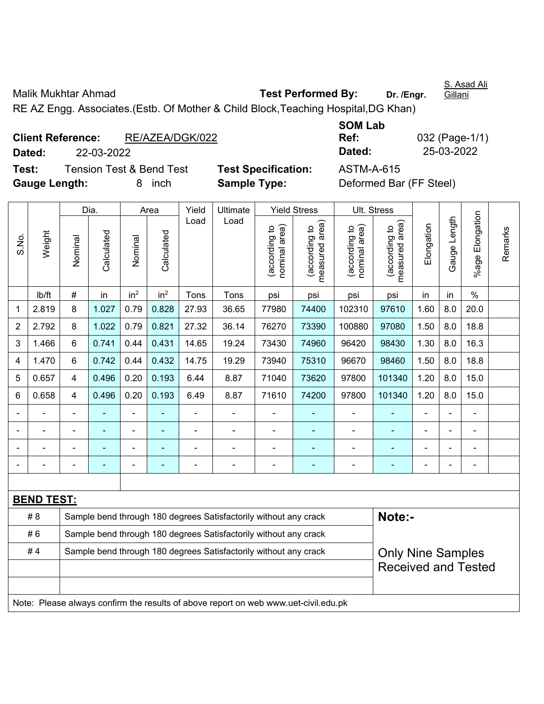Malik Mukhtar Ahmad **Test Performed By:** Dr. /Engr.

RE AZ Engg. Associates.(Estb. Of Mother & Child Block,Teaching Hospital,DG Khan)

|                      | <b>Client Reference:</b> | RE/AZEA/DGK/022                     |                            | Ref:       | 032 (Page-1/            |
|----------------------|--------------------------|-------------------------------------|----------------------------|------------|-------------------------|
| Dated:               | 22-03-2022               |                                     |                            | Dated:     | 25-03-2022              |
| Test:                |                          | <b>Tension Test &amp; Bend Test</b> | <b>Test Specification:</b> | ASTM-A-615 |                         |
| <b>Gauge Length:</b> |                          | inch<br>8.                          | <b>Sample Type:</b>        |            | Deformed Bar (FF Steel) |

| <b>SOM Lab</b> |                |
|----------------|----------------|
| Ref:           | 032 (Page-1/1) |
| Dated:         | 25-03-2022     |

Dia. | Area | Yield | Ultimate | Yield Stress | Ult. Stress %age Elongation %age Elongation Gauge Length Load Load Gauge Length measured area) measured area) (according to<br>nominal area) (according to<br>nominal area) nominal area) (according to<br>measured area) nominal area) (according to<br>measured area) Elongation Elongation (according to (according to (according to (according to Remarks Remarks Weight **Calculated Calculated** Calculated S.No. Calculated Nominal Nominal Nominal Nominal | lb/ft | # | in | in<sup>2</sup> | in<sup>2</sup> | Tons | Tons | psi | psi | psi | psi | in | in | % 1 | 2.819 | 8 | 1.027 | 0.79 | 0.828 | 27.93 | 36.65 | 77980 | 74400 | 102310 | 97610 | 1.60 | 8.0 | 20.0 2 | 2.792 | 8 | 1.022 | 0.79 | 0.821 | 27.32 | 36.14 | 76270 | 73390 | 100880 | 97080 | 1.50 | 8.0 | 18.8 3 | 1.466 | 6 | 0.741 | 0.44 | 0.431 | 14.65 | 19.24 | 73430 | 74960 | 96420 | 98430 | 1.30 | 8.0 | 16.3 4 | 1.470 | 6 | 0.742 | 0.44 | 0.432 | 14.75 | 19.29 | 73940 | 75310 | 96670 | 98460 | 1.50 | 8.0 | 18.8 5 | 0.657 | 4 | 0.496 | 0.20 | 0.193 | 6.44 | 8.87 | 71040 | 73620 | 97800 | 101340 | 1.20 | 8.0 | 15.0 6 | 0.658 | 4 | 0.496 | 0.20 | 0.193 | 6.49 | 8.87 | 71610 | 74200 | 97800 | 101340 | 1.20 | 8.0 | 15.0 - - - - - - - - - - - - - - - - - - - - - - - - - - - - - - - - - - - - - - - - - - - - - - - - - - - - - - - - - - - - **BEND TEST:**  # 8 Sample bend through 180 degrees Satisfactorily without any crack **Note:- Note:** #6 Sample bend through 180 degrees Satisfactorily without any crack #4 Sample bend through 180 degrees Satisfactorily without any crack Only Nine Samples Received and Tested Note: Please always confirm the results of above report on web www.uet-civil.edu.pk

S. Asad Ali Gillani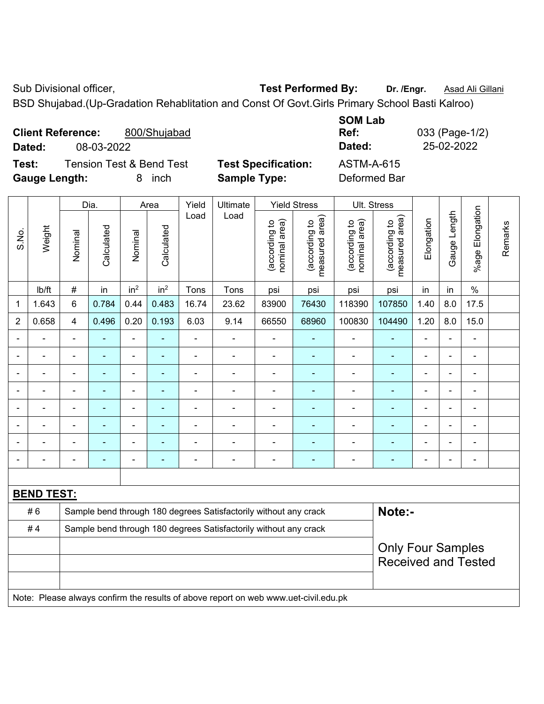Sub Divisional officer, **Test Performed By:** Dr. /Engr. **Asad Ali Gillani** Cub Divisional officer,

BSD Shujabad.(Up-Gradation Rehablitation and Const Of Govt.Girls Primary School Basti Kalroo)

| <b>Client Reference:</b> |            | 800/Shujabad                        |                            | <b>JUIVI LAD</b><br>Ref: | 033 (Page-1/2) |
|--------------------------|------------|-------------------------------------|----------------------------|--------------------------|----------------|
| Dated:                   | 08-03-2022 |                                     |                            | Dated:                   | 25-02-2022     |
| Test:                    |            | <b>Tension Test &amp; Bend Test</b> | <b>Test Specification:</b> | ASTM-A-615               |                |
| <b>Gauge Length:</b>     |            | inch<br>8.                          | <b>Sample Type:</b>        | Deformed Bar             |                |

|       |                          |                | Dia.           |                 | Area                     | Yield<br>Ultimate |                                                                                     |                                | <b>Yield Stress</b>                         |                                | Ult. Stress                                            |                |                |                       |         |
|-------|--------------------------|----------------|----------------|-----------------|--------------------------|-------------------|-------------------------------------------------------------------------------------|--------------------------------|---------------------------------------------|--------------------------------|--------------------------------------------------------|----------------|----------------|-----------------------|---------|
| S.No. | Weight                   | Nominal        | Calculated     | Nominal         | Calculated               | Load              | Load                                                                                | nominal area)<br>(according to | (according to<br>measured area)<br>measured | nominal area)<br>(according to | (according to<br>measured area)                        | Elongation     | Gauge Length   | Elongation<br>$%$ age | Remarks |
|       | Ib/ft                    | $\#$           | in             | in <sup>2</sup> | in <sup>2</sup>          | Tons              | Tons                                                                                | psi                            | psi                                         | psi                            | psi                                                    | in             | in             | $\%$                  |         |
| 1     | 1.643                    | $6\phantom{1}$ | 0.784          | 0.44            | 0.483                    | 16.74             | 23.62                                                                               | 83900                          | 76430                                       | 118390                         | 107850                                                 | 1.40           | 8.0            | 17.5                  |         |
| 2     | 0.658                    | $\overline{4}$ | 0.496          | 0.20            | 0.193                    | 6.03              | 9.14                                                                                | 66550                          | 68960                                       | 100830                         | 104490                                                 | 1.20           | 8.0            | 15.0                  |         |
|       |                          |                |                | ÷,              | ÷                        | ÷,                | $\blacksquare$                                                                      | $\blacksquare$                 | $\blacksquare$                              | ÷                              |                                                        | ä,             | $\blacksquare$ | $\blacksquare$        |         |
|       | $\blacksquare$           | $\blacksquare$ | $\blacksquare$ | ÷,              | ٠                        | $\blacksquare$    | $\blacksquare$                                                                      | $\blacksquare$                 | ٠                                           | $\overline{\phantom{0}}$       | $\blacksquare$                                         | $\blacksquare$ |                | ä,                    |         |
|       | $\blacksquare$           |                | $\blacksquare$ | ÷,              | ٠                        | $\blacksquare$    | $\blacksquare$                                                                      | $\blacksquare$                 | ٠                                           | ÷                              | $\blacksquare$                                         | Ē,             |                | ä,                    |         |
|       | $\overline{\phantom{a}}$ |                | $\blacksquare$ | -               | ٠                        | $\blacksquare$    | $\blacksquare$                                                                      | $\blacksquare$                 | ٠                                           | $\overline{\phantom{0}}$       | ٠                                                      |                |                | $\blacksquare$        |         |
|       |                          |                |                | ÷               |                          |                   | ÷                                                                                   | $\blacksquare$                 | ٠                                           | $\overline{\phantom{0}}$       |                                                        |                |                |                       |         |
|       |                          |                |                | ÷               |                          |                   |                                                                                     |                                |                                             |                                |                                                        |                |                |                       |         |
|       |                          |                |                | ÷               |                          |                   |                                                                                     | $\blacksquare$                 |                                             |                                |                                                        |                |                |                       |         |
|       |                          |                |                | -               | $\overline{\phantom{0}}$ | $\blacksquare$    | $\overline{a}$                                                                      | $\overline{a}$                 | $\blacksquare$                              | ÷                              | $\overline{\phantom{0}}$                               | Ē,             |                | $\blacksquare$        |         |
|       |                          |                |                |                 |                          |                   |                                                                                     |                                |                                             |                                |                                                        |                |                |                       |         |
|       | <b>BEND TEST:</b>        |                |                |                 |                          |                   |                                                                                     |                                |                                             |                                |                                                        |                |                |                       |         |
|       | #6                       |                |                |                 |                          |                   | Sample bend through 180 degrees Satisfactorily without any crack                    |                                |                                             |                                | Note:-                                                 |                |                |                       |         |
|       | #4                       |                |                |                 |                          |                   | Sample bend through 180 degrees Satisfactorily without any crack                    |                                |                                             |                                |                                                        |                |                |                       |         |
|       |                          |                |                |                 |                          |                   |                                                                                     |                                |                                             |                                | <b>Only Four Samples</b><br><b>Received and Tested</b> |                |                |                       |         |
|       |                          |                |                |                 |                          |                   | Note: Please always confirm the results of above report on web www.uet-civil.edu.pk |                                |                                             |                                |                                                        |                |                |                       |         |

**SOM Lab**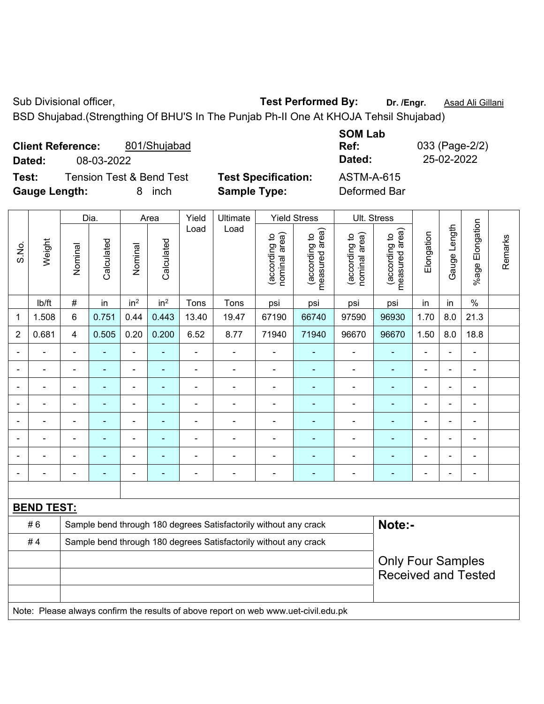## Sub Divisional officer, **Test Performed By:** Dr. /Engr. **Asad Ali Gillani** Cube Association Cube Association

BSD Shujabad.(Strengthing Of BHU'S In The Punjab Ph-II One At KHOJA Tehsil Shujabad)

| <b>Client Reference:</b><br>801/Shujabad<br>08-03-2022<br>Dated: |                            | <b>SOM Lab</b><br>Ref:<br>033 (Page-2/2)<br>25-02-2022<br>Dated: |
|------------------------------------------------------------------|----------------------------|------------------------------------------------------------------|
|                                                                  |                            |                                                                  |
| <b>Tension Test &amp; Bend Test</b><br>Test:                     | <b>Test Specification:</b> | ASTM-A-615                                                       |
| <b>Gauge Length:</b><br>inch<br>8                                | <b>Sample Type:</b>        | Deformed Bar                                                     |

|                |                                                                                     |                | Dia.           |                          | Area            | Yield<br>Ultimate        |                                                                  |                                | <b>Yield Stress</b>             |                                | Ult. Stress                                            |                |                |                 |         |
|----------------|-------------------------------------------------------------------------------------|----------------|----------------|--------------------------|-----------------|--------------------------|------------------------------------------------------------------|--------------------------------|---------------------------------|--------------------------------|--------------------------------------------------------|----------------|----------------|-----------------|---------|
| S.No.          | Weight                                                                              | Nominal        | Calculated     | Nominal                  | Calculated      | Load                     | Load                                                             | nominal area)<br>(according to | measured area)<br>(according to | nominal area)<br>(according to | (according to<br>neasured area)<br>measured            | Elongation     | Gauge Length   | %age Elongation | Remarks |
|                | lb/ft                                                                               | $\#$           | in             | in <sup>2</sup>          | in <sup>2</sup> | Tons                     | Tons                                                             | psi                            | psi                             | psi                            | psi                                                    | in             | in             | $\%$            |         |
| 1              | 1.508                                                                               | 6              | 0.751          | 0.44                     | 0.443           | 13.40                    | 19.47                                                            | 67190                          | 66740                           | 97590                          | 96930                                                  | 1.70           | 8.0            | 21.3            |         |
| $\overline{2}$ | 0.681                                                                               | $\overline{4}$ | 0.505          | 0.20                     | 0.200           | 6.52                     | 8.77                                                             | 71940                          | 71940                           | 96670                          | 96670                                                  | 1.50           | 8.0            | 18.8            |         |
|                | ä,                                                                                  | $\blacksquare$ | ä,             | $\overline{\phantom{a}}$ | $\blacksquare$  | $\blacksquare$           | $\blacksquare$                                                   | ä,                             | $\blacksquare$                  | $\blacksquare$                 | $\blacksquare$                                         | $\blacksquare$ | ä,             | ÷,              |         |
|                | $\blacksquare$                                                                      | $\blacksquare$ | ÷,             | ÷,                       | $\blacksquare$  | ä,                       | $\blacksquare$                                                   | $\blacksquare$                 | ٠                               | $\blacksquare$                 | $\blacksquare$                                         | ÷              | $\blacksquare$ | $\blacksquare$  |         |
|                | ä,                                                                                  | ä,             | ÷,             | ÷,                       |                 | ä,                       | ä,                                                               | $\blacksquare$                 | ä,                              | ÷                              | ä,                                                     | L,             |                | $\blacksquare$  |         |
|                |                                                                                     |                |                | $\blacksquare$           |                 |                          | $\blacksquare$                                                   |                                |                                 | $\blacksquare$                 | $\blacksquare$                                         |                |                | $\blacksquare$  |         |
|                |                                                                                     |                |                | $\blacksquare$           |                 |                          | $\blacksquare$                                                   |                                |                                 | $\overline{\phantom{0}}$       |                                                        |                |                |                 |         |
|                | $\blacksquare$                                                                      |                | $\blacksquare$ | ۰                        |                 |                          | $\blacksquare$                                                   | $\blacksquare$                 | $\blacksquare$                  | $\overline{\phantom{a}}$       | $\blacksquare$                                         | $\blacksquare$ |                | $\blacksquare$  |         |
|                |                                                                                     |                | ۰              | ۰                        |                 |                          | $\overline{a}$                                                   | $\overline{a}$                 | $\overline{\phantom{0}}$        | $\overline{a}$                 | $\blacksquare$                                         | Ē,             |                | ÷               |         |
|                |                                                                                     | $\blacksquare$ | ۰              | ۰                        | $\blacksquare$  | $\overline{\phantom{0}}$ | $\blacksquare$                                                   | $\qquad \qquad \blacksquare$   | $\overline{\phantom{0}}$        | $\blacksquare$                 | $\blacksquare$                                         | $\blacksquare$ |                | ÷               |         |
|                |                                                                                     |                |                |                          |                 |                          |                                                                  |                                |                                 |                                |                                                        |                |                |                 |         |
|                | <b>BEND TEST:</b>                                                                   |                |                |                          |                 |                          |                                                                  |                                |                                 |                                |                                                        |                |                |                 |         |
|                | #6                                                                                  |                |                |                          |                 |                          | Sample bend through 180 degrees Satisfactorily without any crack |                                |                                 |                                | Note:-                                                 |                |                |                 |         |
|                | #4                                                                                  |                |                |                          |                 |                          | Sample bend through 180 degrees Satisfactorily without any crack |                                |                                 |                                |                                                        |                |                |                 |         |
|                |                                                                                     |                |                |                          |                 |                          |                                                                  |                                |                                 |                                | <b>Only Four Samples</b><br><b>Received and Tested</b> |                |                |                 |         |
|                | Note: Please always confirm the results of above report on web www.uet-civil.edu.pk |                |                |                          |                 |                          |                                                                  |                                |                                 |                                |                                                        |                |                |                 |         |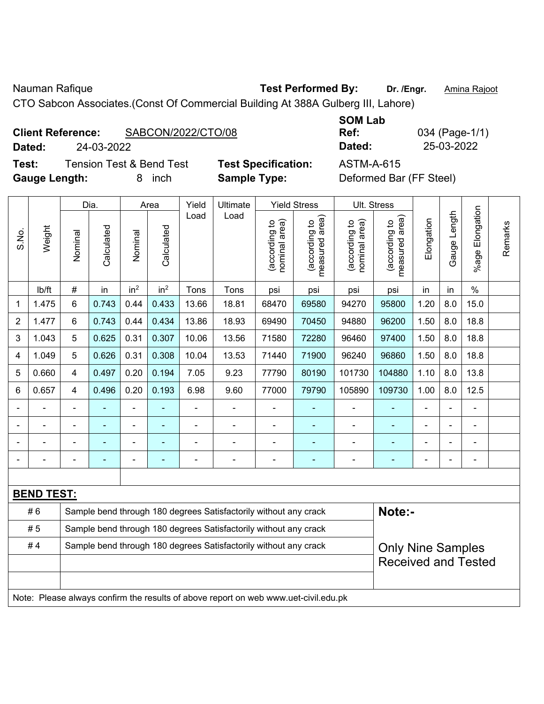Nauman Rafique **Test Performed By:** Dr. /Engr. **Amina Rajoot Nauman** Rajoot

CTO Sabcon Associates.(Const Of Commercial Building At 388A Gulberg III, Lahore)

**Dated:** 24-03-2022 **Dated:** 25-03-2022

**Test:** Tension Test & Bend Test **Test Specification:** ASTM-A-615 Gauge Length: **8** inch **Sample Type:** Definition Bar (Deformed Bar (Deformed Bar (FF Steel)

**SOM Lab Ref:** 034 (Page-1/1)

| Deformed Bar (FF Steel) |  |  |
|-------------------------|--|--|
|-------------------------|--|--|

|                |                   |                | Dia.       |                 | Area            | Yield          | Ultimate                                                                            |                                | <b>Yield Stress</b>             |                                | Ult. Stress                     |                |              |                         |         |
|----------------|-------------------|----------------|------------|-----------------|-----------------|----------------|-------------------------------------------------------------------------------------|--------------------------------|---------------------------------|--------------------------------|---------------------------------|----------------|--------------|-------------------------|---------|
| S.No.          | Weight            | Nominal        | Calculated | Nominal         | Calculated      | Load           | Load                                                                                | nominal area)<br>(according to | (according to<br>measured area) | (according to<br>nominal area) | (according to<br>measured area) | Elongation     | Gauge Length | Elongation<br>$%$ age I | Remarks |
|                | lb/ft             | $\#$           | in         | in <sup>2</sup> | in <sup>2</sup> | Tons           | Tons                                                                                | psi                            | psi                             | psi                            | psi                             | in             | in           | $\%$                    |         |
| 1              | 1.475             | 6              | 0.743      | 0.44            | 0.433           | 13.66          | 18.81                                                                               | 68470                          | 69580                           | 94270                          | 95800                           | 1.20           | 8.0          | 15.0                    |         |
| $\overline{2}$ | 1.477             | 6              | 0.743      | 0.44            | 0.434           | 13.86          | 18.93                                                                               | 69490                          | 70450                           | 94880                          | 96200                           | 1.50           | 8.0          | 18.8                    |         |
| 3              | 1.043             | 5              | 0.625      | 0.31            | 0.307           | 10.06          | 13.56                                                                               | 71580                          | 72280                           | 96460                          | 97400                           | 1.50           | 8.0          | 18.8                    |         |
| 4              | 1.049             | 5              | 0.626      | 0.31            | 0.308           | 10.04          | 13.53                                                                               | 71440                          | 71900                           | 96240                          | 96860                           | 1.50           | 8.0          | 18.8                    |         |
| 5              | 0.660             | 4              | 0.497      | 0.20            | 0.194           | 7.05           | 9.23                                                                                | 77790                          | 80190                           | 101730                         | 104880                          | 1.10           | 8.0          | 13.8                    |         |
| 6              | 0.657             | 4              | 0.496      | 0.20            | 0.193           | 6.98           | 9.60                                                                                | 77000                          | 79790                           | 105890                         | 109730                          | 1.00           | 8.0          | 12.5                    |         |
|                |                   | $\blacksquare$ | ÷          | ÷               |                 | ÷,             | $\blacksquare$                                                                      | $\blacksquare$                 | $\blacksquare$                  | $\blacksquare$                 | ÷,                              |                |              | $\blacksquare$          |         |
|                |                   |                |            |                 |                 |                | $\overline{\phantom{0}}$                                                            | ÷                              |                                 |                                |                                 |                |              | $\blacksquare$          |         |
|                |                   |                |            |                 |                 |                |                                                                                     | $\blacksquare$                 |                                 | $\blacksquare$                 |                                 |                |              |                         |         |
| $\blacksquare$ |                   | $\blacksquare$ | ÷          | $\blacksquare$  | $\blacksquare$  | $\blacksquare$ | $\blacksquare$                                                                      | ä,                             | $\blacksquare$                  | $\blacksquare$                 | ۰                               | $\blacksquare$ | ÷            | $\blacksquare$          |         |
|                |                   |                |            |                 |                 |                |                                                                                     |                                |                                 |                                |                                 |                |              |                         |         |
|                | <b>BEND TEST:</b> |                |            |                 |                 |                |                                                                                     |                                |                                 |                                |                                 |                |              |                         |         |
|                | #6                |                |            |                 |                 |                | Sample bend through 180 degrees Satisfactorily without any crack                    |                                |                                 |                                | Note:-                          |                |              |                         |         |
|                | #5                |                |            |                 |                 |                | Sample bend through 180 degrees Satisfactorily without any crack                    |                                |                                 |                                |                                 |                |              |                         |         |
|                | #4                |                |            |                 |                 |                | Sample bend through 180 degrees Satisfactorily without any crack                    |                                |                                 |                                | <b>Only Nine Samples</b>        |                |              |                         |         |
|                |                   |                |            |                 |                 |                |                                                                                     |                                |                                 |                                | <b>Received and Tested</b>      |                |              |                         |         |
|                |                   |                |            |                 |                 |                |                                                                                     |                                |                                 |                                |                                 |                |              |                         |         |
|                |                   |                |            |                 |                 |                | Note: Please always confirm the results of above report on web www.uet-civil.edu.pk |                                |                                 |                                |                                 |                |              |                         |         |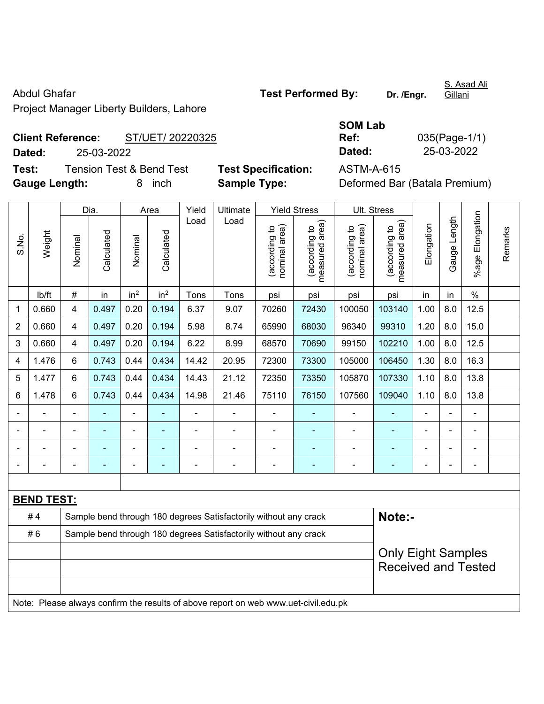Abdul Ghafar **Test Performed By:** Dr. /Engr.

S. Asad Ali Gillani

Project Manager Liberty Builders, Lahore

# **Client Reference:** ST/UET/ 20220325 **Dated:** 25-03-2022 **Dated:** 25-03-2022

**Test:** Tension Test & Bend Test **Test Specification:** ASTM-A-615 **Gauge Length:** 8 inch **Sample Type:** Deformed Bar (Batala Premium)

| 035(Page-1/1) |
|---------------|
| 25-03-2022    |
|               |

|                |                   |                | Dia.                                                             |                 | Area            | Yield | Ultimate                                                                            |                                | <b>Yield Stress</b>                         |                                | Ult. Stress                     |                |              |                         |         |
|----------------|-------------------|----------------|------------------------------------------------------------------|-----------------|-----------------|-------|-------------------------------------------------------------------------------------|--------------------------------|---------------------------------------------|--------------------------------|---------------------------------|----------------|--------------|-------------------------|---------|
| S.No.          | Weight            | Nominal        | Calculated                                                       | Nominal         | Calculated      | Load  | Load                                                                                | nominal area)<br>(according to | (according to<br>measured area)<br>measured | nominal area)<br>(according to | (according to<br>measured area) | Elongation     | Gauge Length | Elongation<br>$%$ age I | Remarks |
|                | lb/ft             | $\#$           | in                                                               | in <sup>2</sup> | in <sup>2</sup> | Tons  | Tons                                                                                | psi                            | psi                                         | psi                            | psi                             | in             | in           | $\%$                    |         |
| 1              | 0.660             | 4              | 0.497                                                            | 0.20            | 0.194           | 6.37  | 9.07                                                                                | 70260                          | 72430                                       | 100050                         | 103140                          | 1.00           | 8.0          | 12.5                    |         |
| $\overline{2}$ | 0.660             | 4              | 0.497                                                            | 0.20            | 0.194           | 5.98  | 8.74                                                                                | 65990                          | 68030                                       | 96340                          | 99310                           | 1.20           | 8.0          | 15.0                    |         |
| 3              | 0.660             | $\overline{4}$ | 0.497                                                            | 0.20            | 0.194           | 6.22  | 8.99                                                                                | 68570                          | 70690                                       | 99150                          | 102210                          | 1.00           | 8.0          | 12.5                    |         |
| 4              | 1.476             | 6              | 0.743                                                            | 0.44            | 0.434           | 14.42 | 20.95                                                                               | 72300                          | 73300                                       | 105000                         | 106450                          | 1.30           | 8.0          | 16.3                    |         |
| 5              | 1.477             | $6\phantom{a}$ | 0.743                                                            | 0.44            | 0.434           | 14.43 | 21.12                                                                               | 72350                          | 73350                                       | 105870                         | 107330                          | 1.10           | 8.0          | 13.8                    |         |
| 6              | 1.478             | $6\phantom{1}$ | 0.743                                                            | 0.44            | 0.434           | 14.98 | 21.46                                                                               | 75110                          | 76150                                       | 107560                         | 109040                          | 1.10           | 8.0          | 13.8                    |         |
|                |                   |                |                                                                  |                 |                 |       |                                                                                     |                                |                                             | ÷                              | $\blacksquare$                  |                |              |                         |         |
|                |                   |                |                                                                  | $\blacksquare$  |                 | ä,    | $\blacksquare$                                                                      |                                |                                             |                                |                                 |                |              |                         |         |
|                |                   |                |                                                                  | -               |                 |       |                                                                                     |                                |                                             |                                |                                 |                |              |                         |         |
|                |                   |                |                                                                  | ÷               | ۰               | ä,    | $\blacksquare$                                                                      | Ē,                             | $\blacksquare$                              | $\blacksquare$                 | ۰                               | $\blacksquare$ |              | ÷                       |         |
|                |                   |                |                                                                  |                 |                 |       |                                                                                     |                                |                                             |                                |                                 |                |              |                         |         |
|                | <b>BEND TEST:</b> |                |                                                                  |                 |                 |       |                                                                                     |                                |                                             |                                |                                 |                |              |                         |         |
|                | #4                |                |                                                                  |                 |                 |       | Sample bend through 180 degrees Satisfactorily without any crack                    |                                |                                             |                                | Note:-                          |                |              |                         |         |
|                | #6                |                | Sample bend through 180 degrees Satisfactorily without any crack |                 |                 |       |                                                                                     |                                |                                             |                                |                                 |                |              |                         |         |
|                |                   |                |                                                                  |                 |                 |       |                                                                                     |                                |                                             |                                | <b>Only Eight Samples</b>       |                |              |                         |         |
|                |                   |                |                                                                  |                 |                 |       |                                                                                     |                                |                                             |                                | <b>Received and Tested</b>      |                |              |                         |         |
|                |                   |                |                                                                  |                 |                 |       |                                                                                     |                                |                                             |                                |                                 |                |              |                         |         |
|                |                   |                |                                                                  |                 |                 |       | Note: Please always confirm the results of above report on web www.uet-civil.edu.pk |                                |                                             |                                |                                 |                |              |                         |         |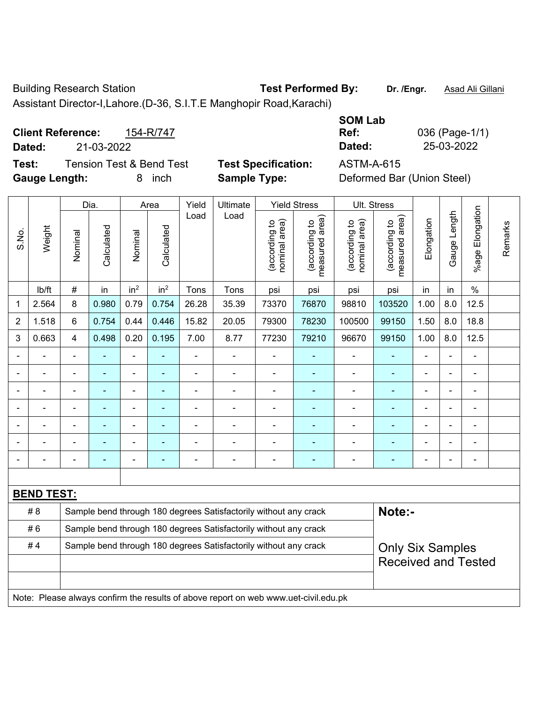Building Research Station **Test Performed By:** Dr. /Engr. **Asad Ali Gillani** 

Assistant Director-I,Lahore.(D-36, S.I.T.E Manghopir Road,Karachi)

**Client Reference:** 154-R/747 **Dated:** 21-03-2022 **Dated:** 25-03-2022 **Test:** Tension Test & Bend Test **Test Specification:** ASTM-A-615

| <b>SOM Lab</b> |                |
|----------------|----------------|
| Ref:           | 036 (Page-1/1) |
| Dated:         | 25-03-2022     |
| ACTMA A CAE    |                |

**Gauge Length:** 8 inch **Sample Type:** Deformed Bar (Union Steel)

|                |                                                                                     |                                                                  | Dia.           |                          | Area            | Yield                    | Ultimate                                                         |                                | <b>Yield Stress</b>                         |                                | Ult. Stress                                 |                |                          |                          |         |
|----------------|-------------------------------------------------------------------------------------|------------------------------------------------------------------|----------------|--------------------------|-----------------|--------------------------|------------------------------------------------------------------|--------------------------------|---------------------------------------------|--------------------------------|---------------------------------------------|----------------|--------------------------|--------------------------|---------|
| S.No.          | Weight                                                                              | Nominal                                                          | Calculated     | Nominal                  | Calculated      | Load                     | Load                                                             | nominal area)<br>(according to | (according to<br>measured area)<br>measured | nominal area)<br>(according to | (according to<br>measured area)<br>measured | Elongation     | Gauge Length             | Elongation<br>%age       | Remarks |
|                | lb/ft                                                                               | $\#$                                                             | in             | in <sup>2</sup>          | in <sup>2</sup> | Tons                     | Tons                                                             | psi                            | psi                                         | psi                            | psi                                         | in             | in                       | $\%$                     |         |
| 1              | 2.564                                                                               | 8                                                                | 0.980          | 0.79                     | 0.754           | 26.28                    | 35.39                                                            | 73370                          | 76870                                       | 98810                          | 103520                                      | 1.00           | 8.0                      | 12.5                     |         |
| $\overline{2}$ | 1.518                                                                               | 6                                                                | 0.754          | 0.44                     | 0.446           | 15.82                    | 20.05                                                            | 79300                          | 78230                                       | 100500                         | 99150                                       | 1.50           | 8.0                      | 18.8                     |         |
| 3              | 0.663                                                                               | $\overline{4}$                                                   | 0.498          | 0.20                     | 0.195           | 7.00                     | 8.77                                                             | 77230                          | 79210                                       | 96670                          | 99150                                       | 1.00           | 8.0                      | 12.5                     |         |
|                |                                                                                     | $\blacksquare$                                                   |                |                          |                 | ÷,                       | ÷,                                                               | $\blacksquare$                 | $\blacksquare$                              | $\blacksquare$                 | ٠                                           | $\blacksquare$ | $\overline{\phantom{a}}$ | ÷,                       |         |
|                | ä,                                                                                  | $\blacksquare$                                                   | $\blacksquare$ | $\blacksquare$           | ٠               | ä,                       | $\blacksquare$                                                   | $\overline{\phantom{a}}$       | $\blacksquare$                              | $\blacksquare$                 | $\blacksquare$                              | $\blacksquare$ |                          | $\blacksquare$           |         |
|                |                                                                                     |                                                                  |                |                          |                 |                          | $\blacksquare$                                                   | ä,                             |                                             |                                | ۰                                           |                |                          | $\blacksquare$           |         |
|                |                                                                                     |                                                                  |                |                          |                 |                          | $\blacksquare$                                                   | $\blacksquare$                 | ۰                                           | $\blacksquare$                 | ۰                                           |                |                          |                          |         |
|                | $\blacksquare$                                                                      |                                                                  |                | $\blacksquare$           |                 |                          | $\blacksquare$                                                   | $\blacksquare$                 | $\blacksquare$                              | $\blacksquare$                 | $\blacksquare$                              |                |                          | L,                       |         |
|                |                                                                                     |                                                                  |                | $\blacksquare$           |                 |                          |                                                                  | $\blacksquare$                 | ۰                                           |                                | $\overline{\phantom{0}}$                    |                |                          | ÷                        |         |
|                |                                                                                     | $\overline{\phantom{0}}$                                         |                | $\overline{\phantom{0}}$ |                 | $\overline{\phantom{0}}$ | $\blacksquare$                                                   | -                              | ۰                                           | $\overline{a}$                 | ۰                                           | $\blacksquare$ |                          | $\overline{\phantom{a}}$ |         |
|                |                                                                                     |                                                                  |                |                          |                 |                          |                                                                  |                                |                                             |                                |                                             |                |                          |                          |         |
|                | <b>BEND TEST:</b>                                                                   |                                                                  |                |                          |                 |                          |                                                                  |                                |                                             |                                |                                             |                |                          |                          |         |
|                | # 8                                                                                 |                                                                  |                |                          |                 |                          | Sample bend through 180 degrees Satisfactorily without any crack |                                |                                             |                                | Note:-                                      |                |                          |                          |         |
|                | #6                                                                                  | Sample bend through 180 degrees Satisfactorily without any crack |                |                          |                 |                          |                                                                  |                                |                                             |                                |                                             |                |                          |                          |         |
|                | #4                                                                                  |                                                                  |                |                          |                 |                          | Sample bend through 180 degrees Satisfactorily without any crack |                                |                                             |                                | <b>Only Six Samples</b>                     |                |                          |                          |         |
|                |                                                                                     |                                                                  |                |                          |                 |                          |                                                                  |                                |                                             |                                | <b>Received and Tested</b>                  |                |                          |                          |         |
|                |                                                                                     |                                                                  |                |                          |                 |                          |                                                                  |                                |                                             |                                |                                             |                |                          |                          |         |
|                | Note: Please always confirm the results of above report on web www.uet-civil.edu.pk |                                                                  |                |                          |                 |                          |                                                                  |                                |                                             |                                |                                             |                |                          |                          |         |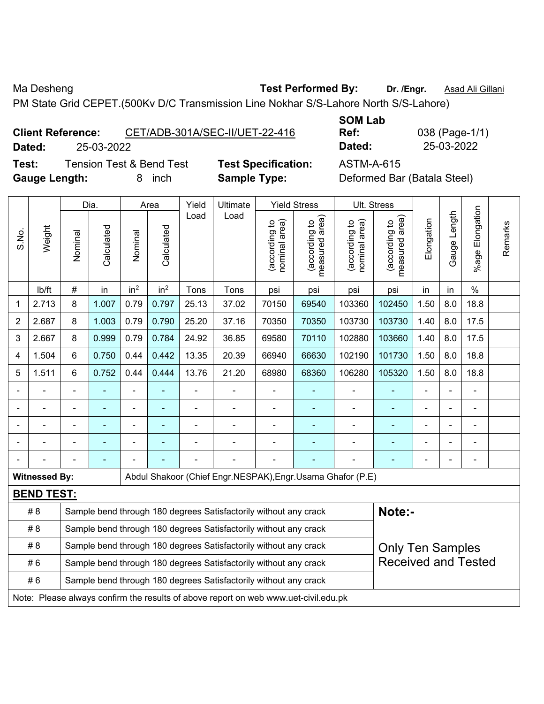Ma Desheng **Test Performed By:** Dr. /Engr. **Asad Ali Gillani** Assembly Dream Dr. /Engr. **Asad Ali Gillani** 

PM State Grid CEPET.(500Kv D/C Transmission Line Nokhar S/S-Lahore North S/S-Lahore)

**Client Reference:** CET/ADB-301A/SEC-II/UET-22-416 **Dated:** 25-03-2022 **Dated:** 25-03-2022

**SOM Lab Ref:** 038 (Page-1/1)

**Test:** Tension Test & Bend Test **Test Specification:** ASTM-A-615 **Gauge Length:** 8 inch **Sample Type:** Deformed Bar (Batala Steel)

| Dia.<br>Area   |                                                                                     |                                                                  |                |                 | Yield           | Ultimate       |                                                                  | <b>Yield Stress</b>            |                                 | Ult. Stress                   |                                             |                          |              |                       |         |
|----------------|-------------------------------------------------------------------------------------|------------------------------------------------------------------|----------------|-----------------|-----------------|----------------|------------------------------------------------------------------|--------------------------------|---------------------------------|-------------------------------|---------------------------------------------|--------------------------|--------------|-----------------------|---------|
| S.No.          | Weight                                                                              | Nominal                                                          | Calculated     | Nominal         | Calculated      | Load           | Load                                                             | (according to<br>nominal area) | (according to<br>measured area) | nominal area)<br>according to | (according to<br>neasured area)<br>measured | Elongation               | Gauge Length | Elongation<br>$%$ age | Remarks |
|                | lb/ft                                                                               | #                                                                | in             | in <sup>2</sup> | in <sup>2</sup> | Tons           | Tons                                                             | psi                            | psi                             | psi                           | psi                                         | in                       | in           | $\frac{0}{0}$         |         |
| 1              | 2.713                                                                               | 8                                                                | 1.007          | 0.79            | 0.797           | 25.13          | 37.02                                                            | 70150                          | 69540                           | 103360                        | 102450                                      | 1.50                     | 8.0          | 18.8                  |         |
| $\overline{2}$ | 2.687                                                                               | 8                                                                | 1.003          | 0.79            | 0.790           | 25.20          | 37.16                                                            | 70350                          | 70350                           | 103730                        | 103730                                      | 1.40                     | 8.0          | 17.5                  |         |
| 3              | 2.667                                                                               | 8                                                                | 0.999          | 0.79            | 0.784           | 24.92          | 36.85                                                            | 69580                          | 70110                           | 102880                        | 103660                                      | 1.40                     | 8.0          | 17.5                  |         |
| 4              | 1.504                                                                               | 6                                                                | 0.750          | 0.44            | 0.442           | 13.35          | 20.39                                                            | 66940                          | 66630                           | 102190                        | 101730                                      | 1.50                     | 8.0          | 18.8                  |         |
| 5              | 1.511                                                                               | 6                                                                | 0.752          | 0.44            | 0.444           | 13.76          | 21.20                                                            | 68980                          | 68360                           | 106280                        | 105320                                      | 1.50                     | 8.0          | 18.8                  |         |
|                |                                                                                     | $\blacksquare$                                                   |                |                 |                 |                | ÷                                                                | ä,                             |                                 | $\blacksquare$                |                                             | ä,                       |              | $\blacksquare$        |         |
|                | ÷,                                                                                  | $\blacksquare$                                                   | $\blacksquare$ | ÷               | $\blacksquare$  | $\blacksquare$ | ÷,                                                               | ÷,                             | $\blacksquare$                  | $\overline{\phantom{a}}$      | $\blacksquare$                              | $\overline{\phantom{a}}$ |              | $\blacksquare$        |         |
|                | $\blacksquare$                                                                      | $\blacksquare$                                                   | ÷,             | ÷               | ۰               | $\blacksquare$ | ÷                                                                | ä,                             | $\blacksquare$                  | $\blacksquare$                | ÷                                           | $\blacksquare$           |              | $\blacksquare$        |         |
|                |                                                                                     |                                                                  |                |                 |                 |                |                                                                  |                                |                                 |                               |                                             |                          |              | ÷                     |         |
|                |                                                                                     |                                                                  |                |                 |                 |                |                                                                  |                                |                                 |                               |                                             |                          |              |                       |         |
|                | <b>Witnessed By:</b>                                                                |                                                                  |                |                 |                 |                | Abdul Shakoor (Chief Engr.NESPAK), Engr.Usama Ghafor (P.E)       |                                |                                 |                               |                                             |                          |              |                       |         |
|                | <b>BEND TEST:</b>                                                                   |                                                                  |                |                 |                 |                |                                                                  |                                |                                 |                               |                                             |                          |              |                       |         |
|                | # 8                                                                                 |                                                                  |                |                 |                 |                | Sample bend through 180 degrees Satisfactorily without any crack |                                |                                 |                               | Note:-                                      |                          |              |                       |         |
|                | # 8                                                                                 | Sample bend through 180 degrees Satisfactorily without any crack |                |                 |                 |                |                                                                  |                                |                                 |                               |                                             |                          |              |                       |         |
|                | #8                                                                                  |                                                                  |                |                 |                 |                | Sample bend through 180 degrees Satisfactorily without any crack |                                |                                 |                               | <b>Only Ten Samples</b>                     |                          |              |                       |         |
|                | #6                                                                                  |                                                                  |                |                 |                 |                | Sample bend through 180 degrees Satisfactorily without any crack |                                |                                 |                               | <b>Received and Tested</b>                  |                          |              |                       |         |
|                | #6                                                                                  |                                                                  |                |                 |                 |                | Sample bend through 180 degrees Satisfactorily without any crack |                                |                                 |                               |                                             |                          |              |                       |         |
|                | Note: Please always confirm the results of above report on web www.uet-civil.edu.pk |                                                                  |                |                 |                 |                |                                                                  |                                |                                 |                               |                                             |                          |              |                       |         |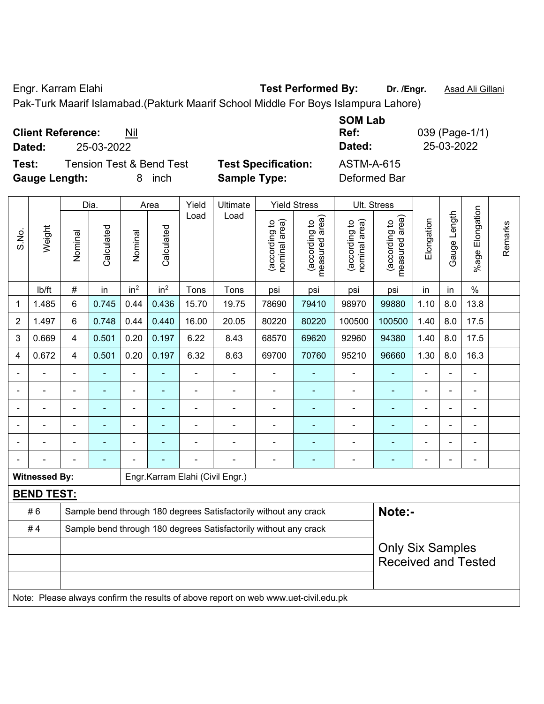Engr. Karram Elahi **Test Performed By:** Dr. /Engr. **Asad Ali Gillani** Company Company Company Company Company Company

Pak-Turk Maarif Islamabad.(Pakturk Maarif School Middle For Boys Islampura Lahore)

| <b>Client Reference:</b><br>Nil<br>25-03-2022<br>Dated:                           |                                                   | <b>SOM Lab</b><br>Ref:<br>Dated: | 039 (Page-1/1)<br>25-03-2022 |
|-----------------------------------------------------------------------------------|---------------------------------------------------|----------------------------------|------------------------------|
| <b>Tension Test &amp; Bend Test</b><br>Test:<br><b>Gauge Length:</b><br>inch<br>8 | <b>Test Specification:</b><br><b>Sample Type:</b> | ASTM-A-615<br>Deformed Bar       |                              |

|                |                                                                                     |                | Dia.                                                             |                 | Area            | Yield          | Ultimate                                                         |                                | <b>Yield Stress</b>             | Ult. Stress                    |                                 |                |                |                 |         |
|----------------|-------------------------------------------------------------------------------------|----------------|------------------------------------------------------------------|-----------------|-----------------|----------------|------------------------------------------------------------------|--------------------------------|---------------------------------|--------------------------------|---------------------------------|----------------|----------------|-----------------|---------|
| S.No.          | Weight                                                                              | Nominal        | Calculated                                                       | Nominal         | Calculated      | Load           | Load                                                             | nominal area)<br>(according to | measured area)<br>(according to | nominal area)<br>(according to | measured area)<br>(according to | Elongation     | Gauge Length   | %age Elongation | Remarks |
|                | lb/ft                                                                               | #              | in                                                               | in <sup>2</sup> | in <sup>2</sup> | Tons           | Tons                                                             | psi                            | psi                             | psi                            | psi                             | in             | in             | $\%$            |         |
| 1              | 1.485                                                                               | 6              | 0.745                                                            | 0.44            | 0.436           | 15.70          | 19.75                                                            | 78690                          | 79410                           | 98970                          | 99880                           | 1.10           | 8.0            | 13.8            |         |
| $\overline{2}$ | 1.497                                                                               | 6              | 0.748                                                            | 0.44            | 0.440           | 16.00          | 20.05                                                            | 80220                          | 80220                           | 100500                         | 100500                          | 1.40           | 8.0            | 17.5            |         |
| 3              | 0.669                                                                               | $\overline{4}$ | 0.501                                                            | 0.20            | 0.197           | 6.22           | 8.43                                                             | 68570                          | 69620                           | 92960                          | 94380                           | 1.40           | 8.0            | 17.5            |         |
| 4              | 0.672                                                                               | $\overline{4}$ | 0.501                                                            | 0.20            | 0.197           | 6.32           | 8.63                                                             | 69700                          | 70760                           | 95210                          | 96660                           | 1.30           | 8.0            | 16.3            |         |
|                |                                                                                     | $\blacksquare$ | ä,                                                               | $\blacksquare$  | $\blacksquare$  | $\blacksquare$ | ä,                                                               | ä,                             | ä,                              | ÷,                             | ÷                               | $\blacksquare$ | $\overline{a}$ | ä,              |         |
|                |                                                                                     | $\blacksquare$ | ÷,                                                               | $\blacksquare$  | $\blacksquare$  | L,             | ÷                                                                | L,                             | ÷                               | $\blacksquare$                 | ä,                              | $\blacksquare$ |                | ÷,              |         |
|                |                                                                                     |                |                                                                  | ÷               |                 |                |                                                                  | ÷                              | ۰                               | $\blacksquare$                 |                                 |                |                | $\blacksquare$  |         |
|                |                                                                                     |                |                                                                  |                 |                 |                |                                                                  | ä,                             |                                 |                                |                                 |                |                |                 |         |
|                |                                                                                     |                |                                                                  |                 |                 |                |                                                                  | $\blacksquare$                 |                                 |                                |                                 |                |                | $\blacksquare$  |         |
|                |                                                                                     |                |                                                                  |                 |                 |                |                                                                  | ä,                             | ÷                               | $\blacksquare$                 |                                 | L.             | $\blacksquare$ | $\blacksquare$  |         |
|                | <b>Witnessed By:</b>                                                                |                |                                                                  |                 |                 |                | Engr.Karram Elahi (Civil Engr.)                                  |                                |                                 |                                |                                 |                |                |                 |         |
|                | <b>BEND TEST:</b>                                                                   |                |                                                                  |                 |                 |                |                                                                  |                                |                                 |                                |                                 |                |                |                 |         |
|                | #6                                                                                  |                |                                                                  |                 |                 |                | Sample bend through 180 degrees Satisfactorily without any crack |                                |                                 |                                | Note:-                          |                |                |                 |         |
|                | #4                                                                                  |                | Sample bend through 180 degrees Satisfactorily without any crack |                 |                 |                |                                                                  |                                |                                 |                                |                                 |                |                |                 |         |
|                |                                                                                     |                |                                                                  |                 |                 |                |                                                                  |                                |                                 |                                | <b>Only Six Samples</b>         |                |                |                 |         |
|                |                                                                                     |                |                                                                  |                 |                 |                |                                                                  |                                |                                 |                                | <b>Received and Tested</b>      |                |                |                 |         |
|                |                                                                                     |                |                                                                  |                 |                 |                |                                                                  |                                |                                 |                                |                                 |                |                |                 |         |
|                | Note: Please always confirm the results of above report on web www.uet-civil.edu.pk |                |                                                                  |                 |                 |                |                                                                  |                                |                                 |                                |                                 |                |                |                 |         |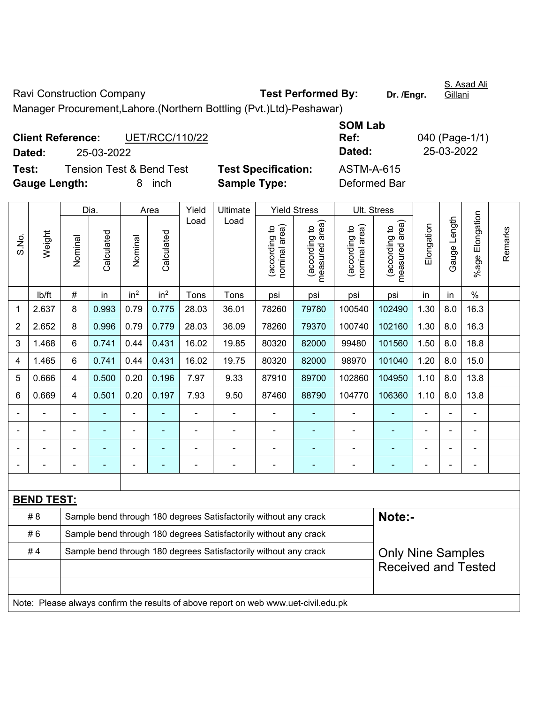Ravi Construction Company **Test Performed By:** Dr. /Engr. Manager Procurement,Lahore.(Northern Bottling (Pvt.)Ltd)-Peshawar)

**Client Reference:** UET/RCC/110/22 **SOM Lab Ref:** 040 (Page-1/1) **Dated:** 25-03-2022 **Dated:** 25-03-2022 **Test:** Tension Test & Bend Test **Test Specification:** ASTM-A-615 **Gauge Length:** 8 inch **Sample Type:** Deformed Bar

|                |                                                                                     |                                                                  | Dia.       |                 | Area            | Yield | Ultimate                                                         |                                | <b>Yield Stress</b>                |                                | Ult. Stress                     |            |              |                      |         |
|----------------|-------------------------------------------------------------------------------------|------------------------------------------------------------------|------------|-----------------|-----------------|-------|------------------------------------------------------------------|--------------------------------|------------------------------------|--------------------------------|---------------------------------|------------|--------------|----------------------|---------|
| S.No.          | Weight                                                                              | Nominal                                                          | Calculated | Nominal         | Calculated      | Load  | Load                                                             | nominal area)<br>(according to | area)<br>(according to<br>measured | nominal area)<br>(according to | (according to<br>measured area) | Elongation | Gauge Length | Elongation<br>%age l | Remarks |
|                | lb/ft                                                                               | $\#$                                                             | in         | in <sup>2</sup> | in <sup>2</sup> | Tons  | Tons                                                             | psi                            | psi                                | psi                            | psi                             | in         | in           | $\%$                 |         |
| 1              | 2.637                                                                               | 8                                                                | 0.993      | 0.79            | 0.775           | 28.03 | 36.01                                                            | 78260                          | 79780                              | 100540                         | 102490                          | 1.30       | 8.0          | 16.3                 |         |
| $\overline{2}$ | 2.652                                                                               | 8                                                                | 0.996      | 0.79            | 0.779           | 28.03 | 36.09                                                            | 78260                          | 79370                              | 100740                         | 102160                          | 1.30       | 8.0          | 16.3                 |         |
| 3              | 1.468                                                                               | 6                                                                | 0.741      | 0.44            | 0.431           | 16.02 | 19.85                                                            | 80320                          | 82000                              | 99480                          | 101560                          | 1.50       | 8.0          | 18.8                 |         |
| 4              | 1.465                                                                               | 6                                                                | 0.741      | 0.44            | 0.431           | 16.02 | 19.75                                                            | 80320                          | 82000                              | 98970                          | 101040                          | 1.20       | 8.0          | 15.0                 |         |
| 5              | 0.666                                                                               | $\overline{4}$                                                   | 0.500      | 0.20            | 0.196           | 7.97  | 9.33                                                             | 87910                          | 89700                              | 102860                         | 104950                          | 1.10       | 8.0          | 13.8                 |         |
| 6              | 0.669                                                                               | $\overline{4}$                                                   | 0.501      | 0.20            | 0.197           | 7.93  | 9.50                                                             | 87460                          | 88790                              | 104770                         | 106360                          | 1.10       | 8.0          | 13.8                 |         |
|                |                                                                                     | $\blacksquare$                                                   | ä,         | $\blacksquare$  |                 | ä,    | ä,                                                               | $\blacksquare$                 | $\blacksquare$                     | $\qquad \qquad \blacksquare$   | ä,                              | L.         |              | ÷                    |         |
|                | ÷                                                                                   |                                                                  | ä,         | $\blacksquare$  |                 | ä,    | ä,                                                               | $\blacksquare$                 | $\blacksquare$                     | ä,                             | ä,                              |            |              | ä,                   |         |
|                |                                                                                     |                                                                  |            |                 |                 |       | $\blacksquare$                                                   |                                | $\blacksquare$                     | $\blacksquare$                 | ۰                               |            |              |                      |         |
|                |                                                                                     |                                                                  |            |                 |                 |       |                                                                  |                                |                                    |                                |                                 |            |              |                      |         |
|                |                                                                                     |                                                                  |            |                 |                 |       |                                                                  |                                |                                    |                                |                                 |            |              |                      |         |
|                | <b>BEND TEST:</b>                                                                   |                                                                  |            |                 |                 |       |                                                                  |                                |                                    |                                |                                 |            |              |                      |         |
|                | #8                                                                                  |                                                                  |            |                 |                 |       | Sample bend through 180 degrees Satisfactorily without any crack |                                |                                    |                                | Note:-                          |            |              |                      |         |
|                | #6                                                                                  | Sample bend through 180 degrees Satisfactorily without any crack |            |                 |                 |       |                                                                  |                                |                                    |                                |                                 |            |              |                      |         |
|                | #4                                                                                  |                                                                  |            |                 |                 |       | Sample bend through 180 degrees Satisfactorily without any crack |                                |                                    |                                | <b>Only Nine Samples</b>        |            |              |                      |         |
|                |                                                                                     |                                                                  |            |                 |                 |       |                                                                  |                                |                                    |                                | <b>Received and Tested</b>      |            |              |                      |         |
|                |                                                                                     |                                                                  |            |                 |                 |       |                                                                  |                                |                                    |                                |                                 |            |              |                      |         |
|                | Note: Please always confirm the results of above report on web www.uet-civil.edu.pk |                                                                  |            |                 |                 |       |                                                                  |                                |                                    |                                |                                 |            |              |                      |         |

S. Asad Ali Gillani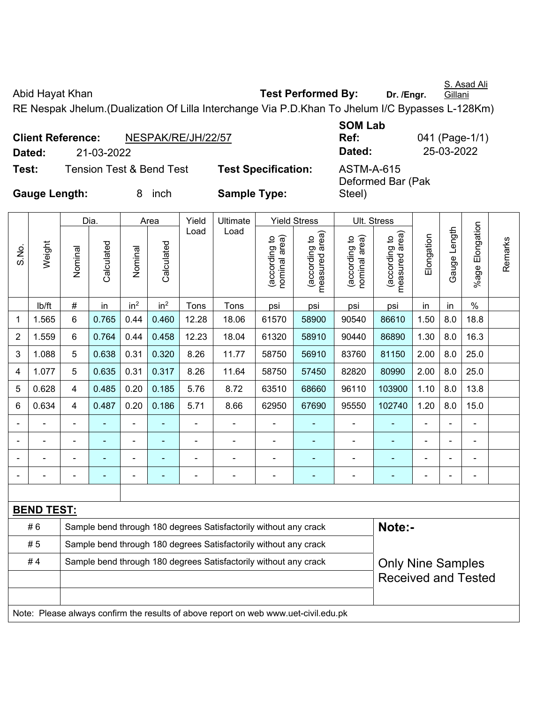S. Asad Ali

Abid Hayat Khan **Test Performed By:** Dr. /Engr.

Gillani

041 (Page-1/1) **Dated:** 21-03-2022 **Dated:** 25-03-2022

RE Nespak Jhelum.(Dualization Of Lilla Interchange Via P.D.Khan To Jhelum I/C Bypasses L-128Km)

|                      | <b>Client Reference:</b> | <b>SOM Lab</b><br>Ref:              | 04 <sup>1</sup>            |                                        |    |
|----------------------|--------------------------|-------------------------------------|----------------------------|----------------------------------------|----|
| Dated:               | 21-03-2022               |                                     |                            | Dated:                                 | 2! |
| Test:                |                          | <b>Tension Test &amp; Bend Test</b> | <b>Test Specification:</b> | <b>ASTM-A-615</b><br>Deformed Bar (Pak |    |
| <b>Gauge Length:</b> |                          | inch                                | <b>Sample Type:</b>        | Steel)                                 |    |

|                |                                                                                     |                                                                  | Dia.       |                 | Area            | Yield          | Ultimate                                                         |                                | <b>Yield Stress</b>             |                                | Ult. Stress                                 |                |                |                          |         |
|----------------|-------------------------------------------------------------------------------------|------------------------------------------------------------------|------------|-----------------|-----------------|----------------|------------------------------------------------------------------|--------------------------------|---------------------------------|--------------------------------|---------------------------------------------|----------------|----------------|--------------------------|---------|
| S.No.          | Weight                                                                              | Nominal                                                          | Calculated | Nominal         | Calculated      | Load           | Load                                                             | nominal area)<br>(according to | measured area)<br>(according to | (according to<br>nominal area) | (according to<br>neasured area)<br>measured | Elongation     | Gauge Length   | Elongation<br>%age l     | Remarks |
|                | Ib/ft                                                                               | $\#$                                                             | in         | in <sup>2</sup> | in <sup>2</sup> | Tons           | Tons                                                             | psi                            | psi                             | psi                            | psi                                         | in             | in             | $\%$                     |         |
| 1              | 1.565                                                                               | 6                                                                | 0.765      | 0.44            | 0.460           | 12.28          | 18.06                                                            | 61570                          | 58900                           | 90540                          | 86610                                       | 1.50           | 8.0            | 18.8                     |         |
| $\overline{2}$ | 1.559                                                                               | 6                                                                | 0.764      | 0.44            | 0.458           | 12.23          | 18.04                                                            | 61320                          | 58910                           | 90440                          | 86890                                       | 1.30           | 8.0            | 16.3                     |         |
| 3              | 1.088                                                                               | 5                                                                | 0.638      | 0.31            | 0.320           | 8.26           | 11.77                                                            | 58750                          | 56910                           | 83760                          | 81150                                       | 2.00           | 8.0            | 25.0                     |         |
| 4              | 1.077                                                                               | 5                                                                | 0.635      | 0.31            | 0.317           | 8.26           | 11.64                                                            | 58750                          | 57450                           | 82820                          | 80990                                       | 2.00           | 8.0            | 25.0                     |         |
| 5              | 0.628                                                                               | 4                                                                | 0.485      | 0.20            | 0.185           | 5.76           | 8.72                                                             | 63510                          | 68660                           | 96110                          | 103900                                      | 1.10           | 8.0            | 13.8                     |         |
| 6              | 0.634                                                                               | $\overline{4}$                                                   | 0.487      | 0.20            | 0.186           | 5.71           | 8.66                                                             | 62950                          | 67690                           | 95550                          | 102740                                      | 1.20           | 8.0            | 15.0                     |         |
|                |                                                                                     |                                                                  |            |                 |                 |                |                                                                  | Ē,                             |                                 |                                |                                             |                |                | ä,                       |         |
|                | ä,                                                                                  |                                                                  | ä,         | ÷               | $\blacksquare$  |                | $\blacksquare$                                                   | $\overline{\phantom{a}}$       | $\blacksquare$                  | $\qquad \qquad \blacksquare$   | $\frac{1}{2}$                               | $\blacksquare$ | $\blacksquare$ | $\overline{\phantom{0}}$ |         |
|                | ÷                                                                                   |                                                                  | ÷,         | $\blacksquare$  | $\blacksquare$  |                | $\blacksquare$                                                   | $\blacksquare$                 | ٠                               | $\blacksquare$                 | $\blacksquare$                              | $\blacksquare$ |                | ÷,                       |         |
|                |                                                                                     | $\blacksquare$                                                   | ۰          | $\overline{a}$  | ٠               | $\blacksquare$ | $\blacksquare$                                                   | $\blacksquare$                 | ۰                               | $\blacksquare$                 | $\blacksquare$                              | $\blacksquare$ |                | ÷                        |         |
|                |                                                                                     |                                                                  |            |                 |                 |                |                                                                  |                                |                                 |                                |                                             |                |                |                          |         |
|                | <b>BEND TEST:</b>                                                                   |                                                                  |            |                 |                 |                |                                                                  |                                |                                 |                                |                                             |                |                |                          |         |
|                | #6                                                                                  |                                                                  |            |                 |                 |                | Sample bend through 180 degrees Satisfactorily without any crack |                                |                                 |                                | Note:-                                      |                |                |                          |         |
|                | #5                                                                                  | Sample bend through 180 degrees Satisfactorily without any crack |            |                 |                 |                |                                                                  |                                |                                 |                                |                                             |                |                |                          |         |
|                | #4                                                                                  |                                                                  |            |                 |                 |                | Sample bend through 180 degrees Satisfactorily without any crack |                                |                                 |                                | <b>Only Nine Samples</b>                    |                |                |                          |         |
|                |                                                                                     |                                                                  |            |                 |                 |                |                                                                  |                                |                                 |                                | <b>Received and Tested</b>                  |                |                |                          |         |
|                |                                                                                     |                                                                  |            |                 |                 |                |                                                                  |                                |                                 |                                |                                             |                |                |                          |         |
|                | Note: Please always confirm the results of above report on web www.uet-civil.edu.pk |                                                                  |            |                 |                 |                |                                                                  |                                |                                 |                                |                                             |                |                |                          |         |